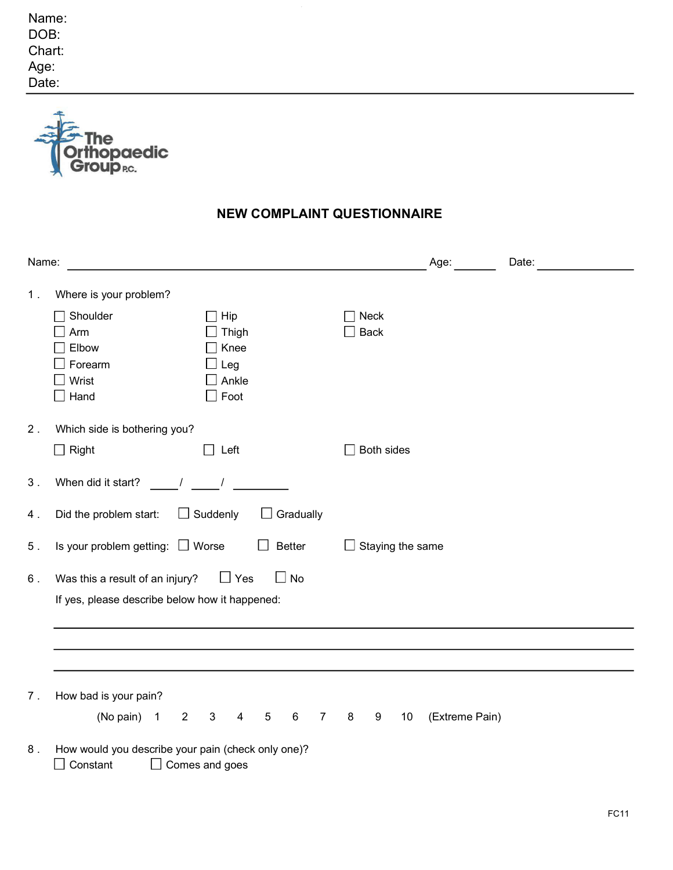